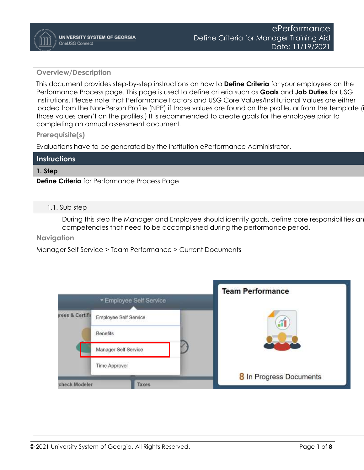## **Overview/Description**

This document provides step-by-step instructions on how to **Define Criteria** for your employees on the Performance Process page. This page is used to define criteria such as **Goals** and **Job Duties** for USG Institutions. Please note that Performance Factors and USG Core Values/Institutional Values are either loaded from the Non-Person Profile (NPP) if those values are found on the profile, or from the template (if those values aren't on the profiles.) It is recommended to create goals for the employee prior to completing an annual assessment document.

**Prerequisite(s)**

Evaluations have to be generated by the institution ePerformance Administrator.

| <b>Instructions</b> |
|---------------------|
|                     |

## **1. Step**

**Define Criteria** for Performance Process Page

## 1.1. Sub step

During this step the Manager and Employee should identify goals, define core responsibilities an competencies that need to be accomplished during the performance period.

**Navigation**

Manager Self Service > Team Performance > Current Documents

|                 | * Employee Self Service |       | <b>Team Performance</b> |
|-----------------|-------------------------|-------|-------------------------|
| rees & Certific | Employee Self Service   |       |                         |
|                 | Benefits                |       |                         |
|                 | Manager Self Service    |       |                         |
|                 | Time Approver           |       |                         |
| check Modeler   |                         | Taxes | 8 In Progress Documents |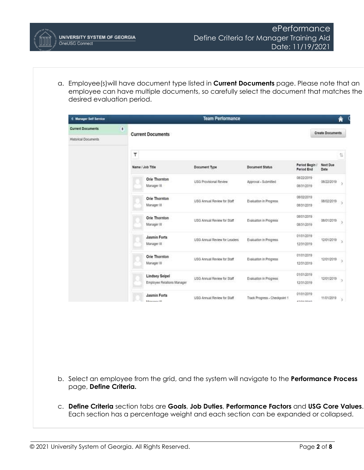a. Employee(s)will have document type listed in **Current Documents** page. Please note that an employee can have multiple documents, so carefully select the document that matches the desired evaluation period.

| <b>4 Manager Self Service</b> |              |                                                     | <b>Team Performance</b>       |                               |                              |                         | Â                   |
|-------------------------------|--------------|-----------------------------------------------------|-------------------------------|-------------------------------|------------------------------|-------------------------|---------------------|
| <b>Current Documents</b>      | $\mathbf{B}$ | <b>Current Documents</b>                            |                               |                               |                              | <b>Create Documents</b> |                     |
| <b>Historical Documents</b>   |              |                                                     |                               |                               |                              |                         |                     |
|                               |              | ۳                                                   |                               |                               |                              |                         | ñ                   |
|                               |              | Name / Job Title                                    | Document Type                 | <b>Document Status</b>        | Period Begin /<br>Period End | Next Due<br>Date        |                     |
|                               |              | <b>Orie Thornton</b><br>Manager III                 | <b>USG Provisional Review</b> | Approval - Submitted          | 08/22/2019<br>08/31/2019     | 08/22/2019              | 5                   |
|                               |              | Orie Thornton<br>Manager III                        | USG Annual Review for Staff   | Evaluation in Progress:       | 08/02/2019<br>08/31/2019     | 08/02/2019              | ö.                  |
|                               |              | Orie Thornton<br>Manager III                        | USG Annual Review for Staff   | Evaluation in Progress        | 08/01/2019<br>08/31/2019     | 08/01/2019              | 3                   |
|                               |              | <b>Jasmin Forts</b><br>Manager III                  | USG Annual Review for Leaders | Evaluation in Progress        | 01/01/2019<br>12/31/2019     | 12/01/2019              | s                   |
|                               |              | Orie Thornton<br>Manager III                        | USG Annual Review for Staff   | Evaluation in Progress        | 01/01/2019<br>12/31/2019     | 12/01/2019              | $\lambda$           |
|                               |              | <b>Lindsey Seipel</b><br>Employee Relations Manager | USG Annual Review for Staff   | Evaluation in Progress        | 01/01/2019<br>12/31/2019     | 12/01/2019              | $\scriptstyle\rm S$ |
|                               |              | <b>Jasmin Forts</b><br><b>Minimum Artist 101</b>    | USG Annual Review for Staff   | Track Progress - Checkpoint 1 | 01/01/2019<br>4151541090405  | 11/01/2019              | s                   |

- b. Select an employee from the grid, and the system will navigate to the **Performance Process** page, **Define Criteria.**
- c. **Define Criteria** section tabs are **Goals**, **Job Duties**, **Performance Factors** and **USG Core Values**. Each section has a percentage weight and each section can be expanded or collapsed.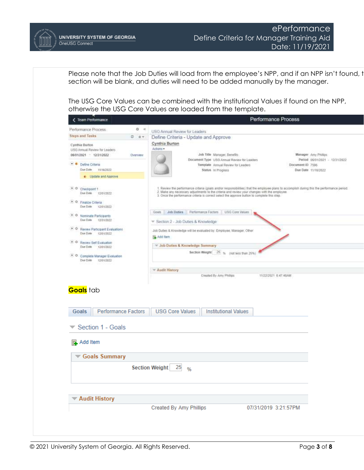

Please note that the Job Duties will load from the employee's NPP, and if an NPP isn't found, t section will be blank, and duties will need to be added manually by the manager.

The USG Core Values can be combined with the institutional Values if found on the NPP, otherwise the USG Core Values are loaded from the template.

| < Team Performance                                        |                                                |                                                                                                                                                                                              |                                             | Performance Process                                                                                                                       |                                |
|-----------------------------------------------------------|------------------------------------------------|----------------------------------------------------------------------------------------------------------------------------------------------------------------------------------------------|---------------------------------------------|-------------------------------------------------------------------------------------------------------------------------------------------|--------------------------------|
| Performance Process.                                      | 0 <sub>k</sub>                                 | USG Annual Review for Leaders                                                                                                                                                                |                                             |                                                                                                                                           |                                |
| <b>Steps and Tasks</b>                                    | $0.0*$<br>Define Criteria - Update and Approve |                                                                                                                                                                                              |                                             |                                                                                                                                           |                                |
| Cynthia Burton                                            |                                                | Cynthia Burton                                                                                                                                                                               |                                             |                                                                                                                                           |                                |
| USG Annual Review for Leaders                             |                                                | Actons -                                                                                                                                                                                     |                                             |                                                                                                                                           |                                |
| 05/01/2021 - 12/31/2022                                   | Overview                                       |                                                                                                                                                                                              | Job Title Manager, Benefits                 |                                                                                                                                           | Manager: Amy Philips           |
|                                                           |                                                |                                                                                                                                                                                              | Document Type USG Annual Review for Laaders |                                                                                                                                           | Period 06/01/2021 - 12/31/2022 |
| · · Define Criteria                                       |                                                |                                                                                                                                                                                              | Template Annual Revew for Leaders           | Document ID 7596                                                                                                                          |                                |
| Due Date<br>TU16/2022                                     |                                                |                                                                                                                                                                                              | Status In Progress                          |                                                                                                                                           | Due Date 11/16/2022            |
| · Update and Approve                                      |                                                |                                                                                                                                                                                              |                                             |                                                                                                                                           |                                |
| $\bullet$ $\circ$ Checkpoint 1<br>Due Date<br>12/01/2022  |                                                | 2. Make any necessary adjustments to the criteria and review your changes with the employee.<br>3. Once the performance criteria is correct select the approve button to complete this step. |                                             | Review the performance criteria (goals and/or responsibilities) that the employee plans to accomplish during this the performance period. |                                |
| • O Finalize Criteria<br>Due Date 12/01/2022              |                                                |                                                                                                                                                                                              |                                             |                                                                                                                                           |                                |
| • O Nominate Perticipants                                 |                                                | Performance Factors<br>Job Duties<br>Goals                                                                                                                                                   | USG Core Values                             |                                                                                                                                           |                                |
| Due Date 12/31/2022                                       |                                                | The Section 2 - Job Duties & Knowledge                                                                                                                                                       |                                             |                                                                                                                                           |                                |
| . O Review Participant Evaluations<br>Due Date 12/01/2022 |                                                | Job Dutles & Knowledge will be evaluated by Employee, Manager, Other                                                                                                                         |                                             |                                                                                                                                           |                                |
|                                                           |                                                | Add Item                                                                                                                                                                                     |                                             |                                                                                                                                           |                                |
| • O Review Self Evaluation<br>Due Date 12/01/2022         |                                                | * Job Duties & Knowledge Summary                                                                                                                                                             |                                             |                                                                                                                                           |                                |
|                                                           |                                                |                                                                                                                                                                                              | Section Weight 25 % (not less than 25%)     |                                                                                                                                           |                                |
| • Q Complete Manager Evaluation<br>Due Date 12/01/2022    |                                                |                                                                                                                                                                                              |                                             |                                                                                                                                           |                                |
|                                                           |                                                |                                                                                                                                                                                              |                                             |                                                                                                                                           |                                |
|                                                           |                                                | * Audit History                                                                                                                                                                              |                                             |                                                                                                                                           |                                |
|                                                           |                                                |                                                                                                                                                                                              |                                             |                                                                                                                                           |                                |
|                                                           |                                                |                                                                                                                                                                                              | Created By Amy Philips                      | 11/22/2021 E-47:48AM                                                                                                                      |                                |
| <b>Goals</b> tab<br><b>Performance Factors</b><br>Goals   |                                                | <b>USG Core Values</b>                                                                                                                                                                       | <b>Institutional Values</b>                 |                                                                                                                                           |                                |
| Section 1 - Goals                                         |                                                |                                                                                                                                                                                              |                                             |                                                                                                                                           |                                |
| Add Item<br>尉.                                            |                                                |                                                                                                                                                                                              |                                             |                                                                                                                                           |                                |
| Goals Summary                                             |                                                |                                                                                                                                                                                              |                                             |                                                                                                                                           |                                |
|                                                           |                                                | 25<br><b>Section Weight</b>                                                                                                                                                                  |                                             |                                                                                                                                           |                                |
|                                                           |                                                | %                                                                                                                                                                                            |                                             |                                                                                                                                           |                                |
|                                                           |                                                |                                                                                                                                                                                              |                                             |                                                                                                                                           |                                |
| <b>▼ Audit History</b>                                    |                                                |                                                                                                                                                                                              |                                             |                                                                                                                                           |                                |
|                                                           |                                                | <b>Created By Amy Phillips</b>                                                                                                                                                               |                                             | 07/31/2019 3:21:57PM                                                                                                                      |                                |
|                                                           |                                                |                                                                                                                                                                                              |                                             |                                                                                                                                           |                                |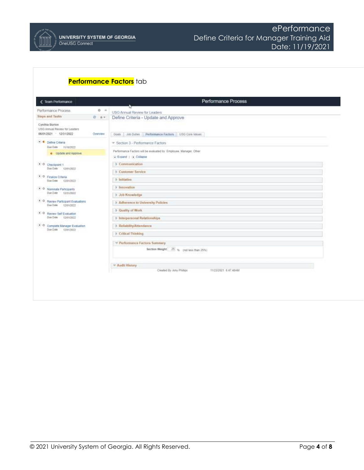## **Performance Factors** tab

| < Team Performance                                                 | Performance Process                                                                           |
|--------------------------------------------------------------------|-----------------------------------------------------------------------------------------------|
| $\circ$<br>Performance Process<br>$-100$                           | USG Armual Review for Leaders                                                                 |
| <b>Steps and Tasks</b><br>0.07<br>Cynthia Burtos                   | Define Criteria - Update and Approve                                                          |
| USG Annual Review for Leaders<br>06/01/2021 12/31/2022<br>Overview | Performance Facture   USO Care Values<br>Job Duties<br>Goals                                  |
| Define Citiena<br>Due Date<br>1016/2022                            | * Section 3 - Performance Factors                                                             |
| e Update and Approve                                               | Performance Factors will be evaluated by: Employee, Manager, Other<br>C-Expand   (i) Collapse |
| + O Checkpoint 1<br>Due Date 12/01/2022                            | $\blacktriangleright$ Communication                                                           |
| • 0 Finalize Colunia<br>Due Date<br>12/01/2022                     | <b>E-Customer Service</b><br>1 Initiative:                                                    |
| $-0.14$<br>Nominate Participants<br>Due Date (2/31/2022)           | > Innovation<br>1 Job Knowledge                                                               |
| • O Review Participant Evaluations<br>Due Date 12/11/2022          | <b>I</b> Adherence to University Policies                                                     |
| . O Review Self Evaluation<br>Due Date 12/81/2022                  | Coality of Work<br>+ Interperanced Relationships                                              |
| . Complete Manager Evaluation<br>Due Date (2010/2022)              | > Reliability/Amendance                                                                       |
|                                                                    | <b>F. Critical Thinking</b>                                                                   |
|                                                                    | * Performance Factors Summary<br>Section Weight 25 as partiess than 25%)                      |
|                                                                    | - Audit History                                                                               |
|                                                                    | Created By Amy Phillips<br>15/22/2021 6:47:45AM                                               |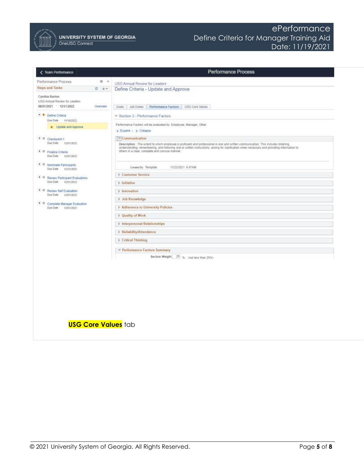

UNIVERSITY SYSTEM OF GEORGIA OneUSG Connect

| < Team Performance                                                                                                                                                                                                                                                                                                   |          | Performance Process                                                                                                                                                                                                                                                                                                                                                                                                                                                                                                                                                                                                     |
|----------------------------------------------------------------------------------------------------------------------------------------------------------------------------------------------------------------------------------------------------------------------------------------------------------------------|----------|-------------------------------------------------------------------------------------------------------------------------------------------------------------------------------------------------------------------------------------------------------------------------------------------------------------------------------------------------------------------------------------------------------------------------------------------------------------------------------------------------------------------------------------------------------------------------------------------------------------------------|
| Performance Process                                                                                                                                                                                                                                                                                                  | 0.4      | USG Annual Review for Leaders                                                                                                                                                                                                                                                                                                                                                                                                                                                                                                                                                                                           |
| Steps and Tasks                                                                                                                                                                                                                                                                                                      | 0.07     | Define Criteria - Update and Approve                                                                                                                                                                                                                                                                                                                                                                                                                                                                                                                                                                                    |
| Cynthia Burton<br>USG Annual Review for Leaders<br>06/01/2021 - 12/31/2022                                                                                                                                                                                                                                           | Overview | Job Dutwr<br>Performance Factors<br>USG Core Values<br>Goals                                                                                                                                                                                                                                                                                                                                                                                                                                                                                                                                                            |
| Cafine Criteria<br>Due Date 11/18/2022                                                                                                                                                                                                                                                                               |          | * Section 3 - Performance Factors                                                                                                                                                                                                                                                                                                                                                                                                                                                                                                                                                                                       |
| <b>e</b> Update and Approve                                                                                                                                                                                                                                                                                          |          | Performance Factors will be evaluated by Employee, Manager, Offier<br>Deand 1 Collapse                                                                                                                                                                                                                                                                                                                                                                                                                                                                                                                                  |
| · O Checkpant 1<br>Due Date 12/01/2022<br>· O Finalize Criteria<br>Due Date 12/01/2022<br>• O Nominala Participants<br>Due Date 12/11/2022<br>. O Raview Participant Evaluations<br>Due Dime 12/01/2022<br>. O Review Self Evaluation<br>Due Date 12/01/2022<br>. Complete Manager Evaluation<br>Due Date 15/01/2023 |          | <b>Communication</b><br>Description : The woten! to which employee is proficient and professional in oral and written communication. This includes listening,<br>understanding, remembering, and following oral or written instructions: asking for clarification when necessary and providing information to<br>others in a clear, complete and concise inanner.<br>11/22/2021 6:47AM<br>Created By Template<br><b>Eustomer Service</b><br>> Initiative<br><b>b</b> Innovation<br>> Job Knowledge<br>Adherence to University Policies<br>Danility of Work<br>F Interpersonal Relationships<br>> Reliability/Attendance |
|                                                                                                                                                                                                                                                                                                                      |          | <b>Critical Thinking</b>                                                                                                                                                                                                                                                                                                                                                                                                                                                                                                                                                                                                |
|                                                                                                                                                                                                                                                                                                                      |          | - Performance Factors Summary                                                                                                                                                                                                                                                                                                                                                                                                                                                                                                                                                                                           |
|                                                                                                                                                                                                                                                                                                                      |          | Section Weight 25 % (not less than 25%)                                                                                                                                                                                                                                                                                                                                                                                                                                                                                                                                                                                 |
|                                                                                                                                                                                                                                                                                                                      |          | <b>USG Core Values tab</b>                                                                                                                                                                                                                                                                                                                                                                                                                                                                                                                                                                                              |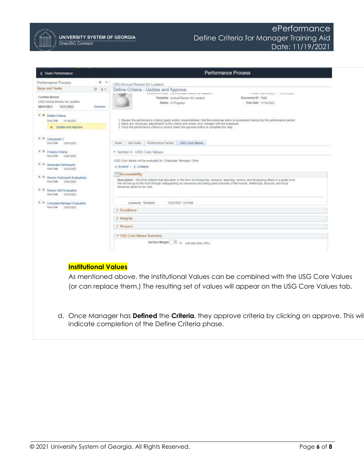

UNIVERSITY SYSTEM OF GEORGIA OneUSG Connect

| <b>Team Performance</b>                                                                                                                                                                                                                                                                                       | Performance Process                                                                                                                                                                                                                                                                                                                                                                                                                                                                                                                                                                                                                                                                                                                                                                                                                                                                                    |
|---------------------------------------------------------------------------------------------------------------------------------------------------------------------------------------------------------------------------------------------------------------------------------------------------------------|--------------------------------------------------------------------------------------------------------------------------------------------------------------------------------------------------------------------------------------------------------------------------------------------------------------------------------------------------------------------------------------------------------------------------------------------------------------------------------------------------------------------------------------------------------------------------------------------------------------------------------------------------------------------------------------------------------------------------------------------------------------------------------------------------------------------------------------------------------------------------------------------------------|
| Performance Process<br>$0 - 4$                                                                                                                                                                                                                                                                                | USG Annual Review for Leaders                                                                                                                                                                                                                                                                                                                                                                                                                                                                                                                                                                                                                                                                                                                                                                                                                                                                          |
| <b>Steps and Tasks</b><br>000<br>Cynthia Burton<br>USG Annual Review for Leaders<br>06/01/2021 - 12/31/2022<br>Overview                                                                                                                                                                                       | Define Criteria - Update and Approve<br>sestemment the member of the set of the statement of the<br>2 INTERFE MORE EGINE C. T. TAYLOR REGION<br>Document ID 7596<br>Template Annual Review for Leaders<br>Due Date 11/18/2022<br>Status In Prograss                                                                                                                                                                                                                                                                                                                                                                                                                                                                                                                                                                                                                                                    |
| · · Define Criteria<br>Due Date<br>11/18/2022<br>c Update and Approve<br>$\bullet$ 0<br>Checkpoint 1<br>Due Date<br>12/03/2022<br>. O Finaliza Criteria<br>Dae Date<br>12/01/2022<br><b>D.O.</b> Nominate Participants<br>Dow Date<br>12/31/2022<br>• O Review Participant Evaluations<br>Due Date 12/01/2022 | 1. Review the performance criteria (goals and/or responsibilities) that the employee plans to accomplan during this the performance period.<br>2. Make any necessary adjustments to the criteria and review your changes with the errolovee.<br>3. Once the performance criteria is correct select the approve buttin to complete this step.<br>Job Duties<br>Performance Factors<br><b>USG Core Values</b><br>Guilt<br>* Section 4 - USG Core Values<br>USG Core Values will be evaluated by Employee, Manager, Other<br>- Expand   (a) Collapse<br>: < Accountability<br>Description We firmly believe that education in the torm of scholarship, research. teaching, service, and developing others is a public trust.<br>We will live up to this trust through safeguarding our resources and being good stewards of the human, intellectual, physical, and fiscal<br>resources given to our care. |
| . O Review Set Evaluation<br>Due Date 12/01/2022<br>• C Complete Manager Evaluation<br>Don Date<br>12/01/2022                                                                                                                                                                                                 | Created By Template<br>11/22/2021 E-47AM<br><b>Excellence</b><br>$\rightarrow$ Integrity<br><b>Respect</b>                                                                                                                                                                                                                                                                                                                                                                                                                                                                                                                                                                                                                                                                                                                                                                                             |
|                                                                                                                                                                                                                                                                                                               | = USG Core Values Summary<br>Section Weight 25 % (not less than 25%)                                                                                                                                                                                                                                                                                                                                                                                                                                                                                                                                                                                                                                                                                                                                                                                                                                   |
| <b>Institutional Values</b>                                                                                                                                                                                                                                                                                   | As mentioned above, the Institutional Values can be combined with the USG Core Values<br>(or can replace them.) The resulting set of values will appear on the USG Core Values tab.                                                                                                                                                                                                                                                                                                                                                                                                                                                                                                                                                                                                                                                                                                                    |

d. Once Manager has **Defined** the **Criteria**, they approve criteria by clicking on approve. This will indicate completion of the Define Criteria phase.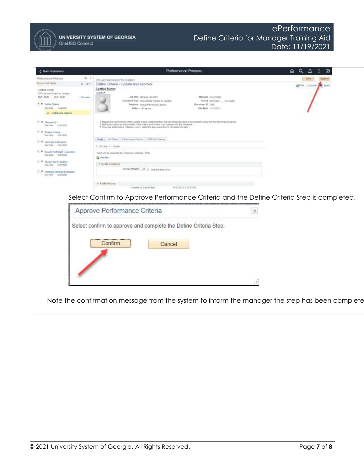

UNIVERSITY SYSTEM OF GEORGIA OneUSG Connect

| <b>C</b> Team Performance                                                                                                                                                                                                                                                                                             | Performance Process                                                                                                                                                                                                                                                                                                                                                                                                                                                                                                                                                                                                                                                                                                                   | Q<br>ଇ<br>⊗<br>Δ                 |
|-----------------------------------------------------------------------------------------------------------------------------------------------------------------------------------------------------------------------------------------------------------------------------------------------------------------------|---------------------------------------------------------------------------------------------------------------------------------------------------------------------------------------------------------------------------------------------------------------------------------------------------------------------------------------------------------------------------------------------------------------------------------------------------------------------------------------------------------------------------------------------------------------------------------------------------------------------------------------------------------------------------------------------------------------------------------------|----------------------------------|
| <b>Farbirruptie Pricess</b><br>$D - 4$                                                                                                                                                                                                                                                                                | <b>USG Annual Review for Leaders</b>                                                                                                                                                                                                                                                                                                                                                                                                                                                                                                                                                                                                                                                                                                  | <b>Bave   Agazave</b>            |
| <b>SODS and Tesles</b><br>0.17                                                                                                                                                                                                                                                                                        | Define Criteria - Update and Approve                                                                                                                                                                                                                                                                                                                                                                                                                                                                                                                                                                                                                                                                                                  | All Park 1 Enterprise and Export |
| Cambra Burton<br>USS Annual Review for Lasdem<br>08/01/2821 12/31/2021<br>Overview                                                                                                                                                                                                                                    | Cynthia Burton<br>Admin.<br>Job Title: Manager, Benefits<br>Metaget, Any Phillips                                                                                                                                                                                                                                                                                                                                                                                                                                                                                                                                                                                                                                                     |                                  |
| U. P. Detrie Crisera<br>Dan Date .<br><b>FETROSTI</b><br># Lischde And Approve                                                                                                                                                                                                                                        | Discussed Type LtDG Arroad Reveal for Leather<br>Pedia4 USD12021 / 12/21/2821<br>Template: Annual Raymer Sc1.830011<br>Decament D 7980<br>Matus In Pregnos<br><b>BAB Date: Hillscopt</b>                                                                                                                                                                                                                                                                                                                                                                                                                                                                                                                                              |                                  |
| $0.0$ Decision 1<br>Den Time CHEESSEE<br>C-D. Finalze Crimes<br>The Time : storagan<br>A D. Nororate Participants<br>Dear Date - North Good<br>* 0 Novac Partcoell Evaluations<br>San Item to stretchet<br>C-D Horas Saf Evenation<br>Dan Dank 1000 USD 1<br>8:31 Compage Manager Eveluation<br>disk has specifically | 1. Never-the performance others costs and/or responsibilities) that the employee plans to accomplish studing this the performance period.<br>2. Malos any necessary adjustments to the criteria and review your, changes with the aniptiyear.<br>3. Once the performings criteria is correct belief the approve button to complete this view.<br>Grade. Job Duties   Performance Pactors   1720 Core VALUE<br>* Seden 1 - Open<br>State with excellent by Emission, Manager 129an<br><b>GLANCIAN</b><br>* Guilt Summery<br>Section Weight, 22. 6 just use that 20%<br>+ Audit History<br>Creebst III Any Philips<br>11/22/2021 T.20-TTAM<br>Select Confirm to Approve Performance Criteria and the Define Criteria Step is completed. |                                  |
|                                                                                                                                                                                                                                                                                                                       | Approve Performance Criteria                                                                                                                                                                                                                                                                                                                                                                                                                                                                                                                                                                                                                                                                                                          |                                  |
|                                                                                                                                                                                                                                                                                                                       | Select confirm to approve and complete the Define Criteria Step.<br>Confirm<br>Cancel                                                                                                                                                                                                                                                                                                                                                                                                                                                                                                                                                                                                                                                 |                                  |
|                                                                                                                                                                                                                                                                                                                       | ж                                                                                                                                                                                                                                                                                                                                                                                                                                                                                                                                                                                                                                                                                                                                     |                                  |
|                                                                                                                                                                                                                                                                                                                       | Note the confirmation message from the system to inform the manager the step has been complete                                                                                                                                                                                                                                                                                                                                                                                                                                                                                                                                                                                                                                        |                                  |